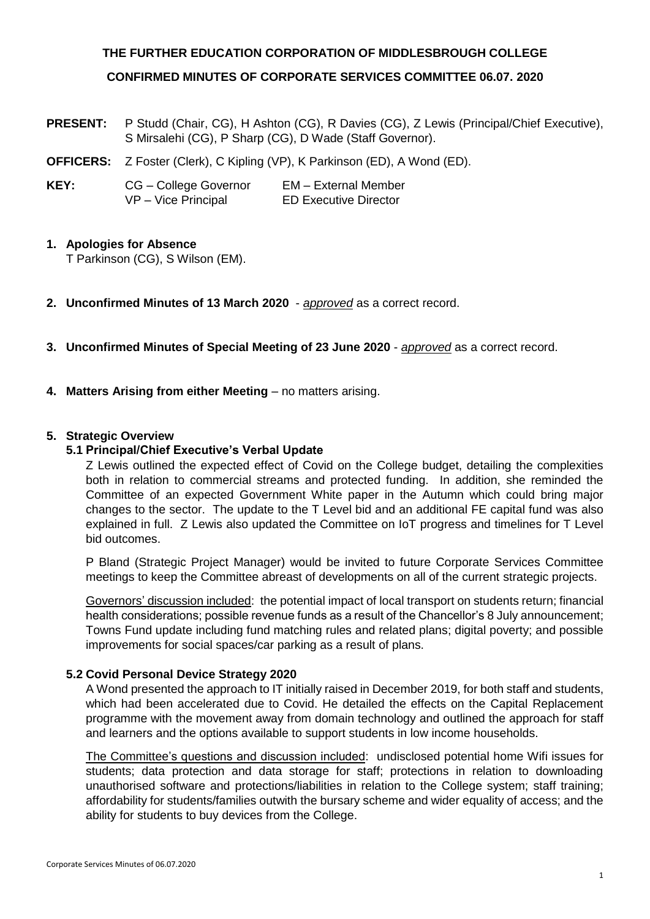# **THE FURTHER EDUCATION CORPORATION OF MIDDLESBROUGH COLLEGE CONFIRMED MINUTES OF CORPORATE SERVICES COMMITTEE 06.07. 2020**

- **PRESENT:** P Studd (Chair, CG), H Ashton (CG), R Davies (CG), Z Lewis (Principal/Chief Executive), S Mirsalehi (CG), P Sharp (CG), D Wade (Staff Governor).
- **OFFICERS:** Z Foster (Clerk), C Kipling (VP), K Parkinson (ED), A Wond (ED).
- **KEY:** CG College Governor EM External Member VP – Vice Principal ED Executive Director

# **1. Apologies for Absence**

T Parkinson (CG), S Wilson (EM).

- **2. Unconfirmed Minutes of 13 March 2020** *approved* as a correct record.
- **3. Unconfirmed Minutes of Special Meeting of 23 June 2020** *approved* as a correct record.
- **4. Matters Arising from either Meeting** no matters arising.

## **5. Strategic Overview**

## **5.1 Principal/Chief Executive's Verbal Update**

Z Lewis outlined the expected effect of Covid on the College budget, detailing the complexities both in relation to commercial streams and protected funding. In addition, she reminded the Committee of an expected Government White paper in the Autumn which could bring major changes to the sector. The update to the T Level bid and an additional FE capital fund was also explained in full. Z Lewis also updated the Committee on IoT progress and timelines for T Level bid outcomes.

P Bland (Strategic Project Manager) would be invited to future Corporate Services Committee meetings to keep the Committee abreast of developments on all of the current strategic projects.

Governors' discussion included: the potential impact of local transport on students return; financial health considerations; possible revenue funds as a result of the Chancellor's 8 July announcement; Towns Fund update including fund matching rules and related plans; digital poverty; and possible improvements for social spaces/car parking as a result of plans.

#### **5.2 Covid Personal Device Strategy 2020**

A Wond presented the approach to IT initially raised in December 2019, for both staff and students, which had been accelerated due to Covid. He detailed the effects on the Capital Replacement programme with the movement away from domain technology and outlined the approach for staff and learners and the options available to support students in low income households.

The Committee's questions and discussion included: undisclosed potential home Wifi issues for students; data protection and data storage for staff; protections in relation to downloading unauthorised software and protections/liabilities in relation to the College system; staff training; affordability for students/families outwith the bursary scheme and wider equality of access; and the ability for students to buy devices from the College.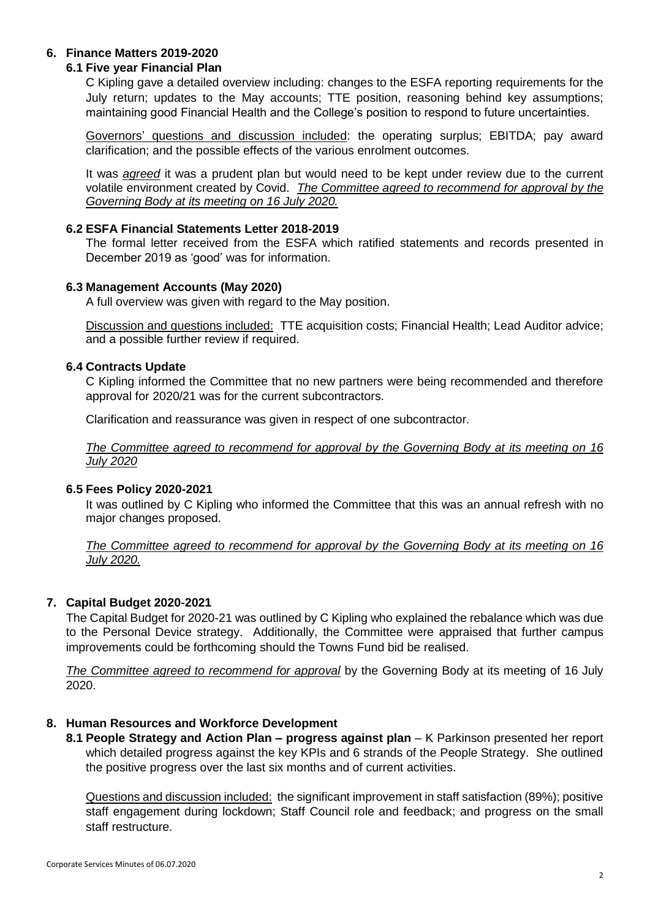# **6. Finance Matters 2019-2020**

#### **6.1 Five year Financial Plan**

C Kipling gave a detailed overview including: changes to the ESFA reporting requirements for the July return; updates to the May accounts; TTE position, reasoning behind key assumptions; maintaining good Financial Health and the College's position to respond to future uncertainties.

Governors' questions and discussion included: the operating surplus; EBITDA; pay award clarification; and the possible effects of the various enrolment outcomes.

It was *agreed* it was a prudent plan but would need to be kept under review due to the current volatile environment created by Covid. *The Committee agreed to recommend for approval by the Governing Body at its meeting on 16 July 2020.*

## **6.2 ESFA Financial Statements Letter 2018-2019**

The formal letter received from the ESFA which ratified statements and records presented in December 2019 as 'good' was for information.

## **6.3 Management Accounts (May 2020)**

A full overview was given with regard to the May position.

Discussion and questions included: TTE acquisition costs; Financial Health; Lead Auditor advice; and a possible further review if required.

## **6.4 Contracts Update**

C Kipling informed the Committee that no new partners were being recommended and therefore approval for 2020/21 was for the current subcontractors.

Clarification and reassurance was given in respect of one subcontractor.

*The Committee agreed to recommend for approval by the Governing Body at its meeting on 16 July 2020*

#### **6.5 Fees Policy 2020-2021**

It was outlined by C Kipling who informed the Committee that this was an annual refresh with no major changes proposed.

*The Committee agreed to recommend for approval by the Governing Body at its meeting on 16 July 2020.*

# **7. Capital Budget 2020-2021**

The Capital Budget for 2020-21 was outlined by C Kipling who explained the rebalance which was due to the Personal Device strategy. Additionally, the Committee were appraised that further campus improvements could be forthcoming should the Towns Fund bid be realised.

*The Committee agreed to recommend for approval* by the Governing Body at its meeting of 16 July 2020.

#### **8. Human Resources and Workforce Development**

**8.1 People Strategy and Action Plan – progress against plan** – K Parkinson presented her report which detailed progress against the key KPIs and 6 strands of the People Strategy. She outlined the positive progress over the last six months and of current activities.

Questions and discussion included: the significant improvement in staff satisfaction (89%); positive staff engagement during lockdown; Staff Council role and feedback; and progress on the small staff restructure.